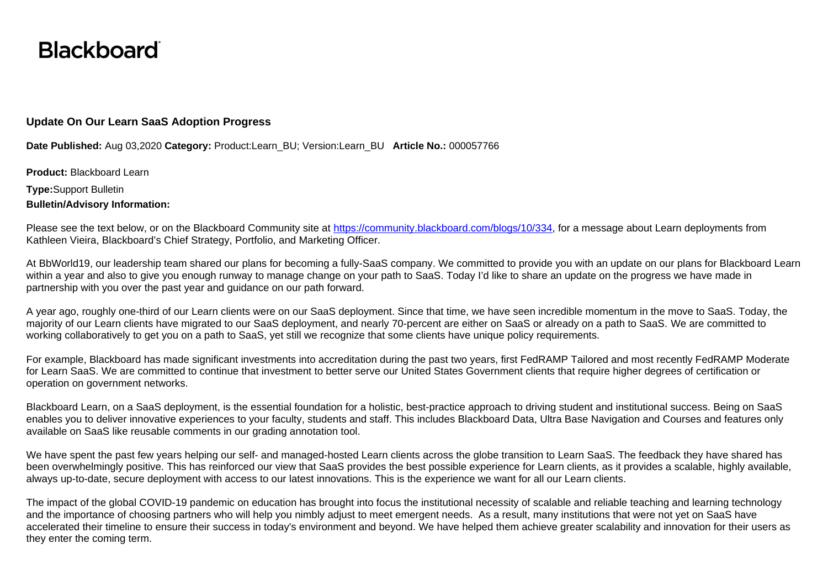## **Blackboard**

## **Update On Our Learn SaaS Adoption Progress**

**Date Published:** Aug 03,2020 **Category:** Product:Learn\_BU; Version:Learn\_BU **Article No.:** 000057766

**Product:** Blackboard Learn **Type:**Support Bulletin

**Bulletin/Advisory Information:** 

Please see the text below, or on the Blackboard Community site at [https://community.blackboard.com/blogs/10/334,](https://community.blackboard.com/blogs/10/334) for a message about Learn deployments from Kathleen Vieira, Blackboard's Chief Strategy, Portfolio, and Marketing Officer.

At BbWorld19, our leadership team shared our plans for becoming a fully-SaaS company. We committed to provide you with an update on our plans for Blackboard Learn within a year and also to give you enough runway to manage change on your path to SaaS. Today I'd like to share an update on the progress we have made in partnership with you over the past year and guidance on our path forward.

A year ago, roughly one-third of our Learn clients were on our SaaS deployment. Since that time, we have seen incredible momentum in the move to SaaS. Today, the majority of our Learn clients have migrated to our SaaS deployment, and nearly 70-percent are either on SaaS or already on a path to SaaS. We are committed to working collaboratively to get you on a path to SaaS, yet still we recognize that some clients have unique policy requirements.

For example, Blackboard has made significant investments into accreditation during the past two years, first FedRAMP Tailored and most recently FedRAMP Moderate for Learn SaaS. We are committed to continue that investment to better serve our United States Government clients that require higher degrees of certification or operation on government networks.

Blackboard Learn, on a SaaS deployment, is the essential foundation for a holistic, best-practice approach to driving student and institutional success. Being on SaaS enables you to deliver innovative experiences to your faculty, students and staff. This includes Blackboard Data, Ultra Base Navigation and Courses and features only available on SaaS like reusable comments in our grading annotation tool.

We have spent the past few years helping our self- and managed-hosted Learn clients across the globe transition to Learn SaaS. The feedback they have shared has been overwhelmingly positive. This has reinforced our view that SaaS provides the best possible experience for Learn clients, as it provides a scalable, highly available, always up-to-date, secure deployment with access to our latest innovations. This is the experience we want for all our Learn clients.

The impact of the global COVID-19 pandemic on education has brought into focus the institutional necessity of scalable and reliable teaching and learning technology and the importance of choosing partners who will help you nimbly adjust to meet emergent needs. As a result, many institutions that were not yet on SaaS have accelerated their timeline to ensure their success in today's environment and beyond. We have helped them achieve greater scalability and innovation for their users as they enter the coming term.